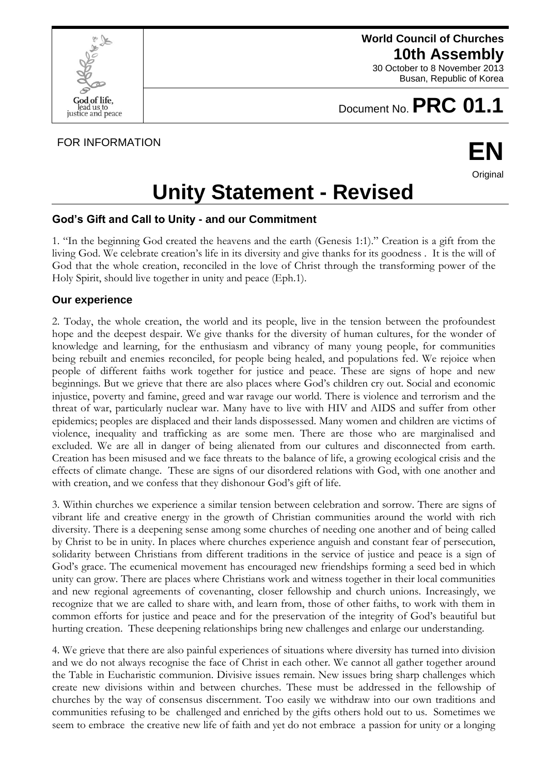**World Council of Churches 10th Assembly**

30 October to 8 November 2013 Busan, Republic of Korea



# FOR INFORMATION **EN**

## Document No. **PRC 01.1**



### **Unity Statement - Revised**

### **God's Gift and Call to Unity - and our Commitment**

1. "In the beginning God created the heavens and the earth (Genesis 1:1)." Creation is a gift from the living God. We celebrate creation's life in its diversity and give thanks for its goodness . It is the will of God that the whole creation, reconciled in the love of Christ through the transforming power of the Holy Spirit, should live together in unity and peace (Eph.1).

#### **Our experience**

2. Today, the whole creation, the world and its people, live in the tension between the profoundest hope and the deepest despair. We give thanks for the diversity of human cultures, for the wonder of knowledge and learning, for the enthusiasm and vibrancy of many young people, for communities being rebuilt and enemies reconciled, for people being healed, and populations fed. We rejoice when people of different faiths work together for justice and peace. These are signs of hope and new beginnings. But we grieve that there are also places where God's children cry out. Social and economic injustice, poverty and famine, greed and war ravage our world. There is violence and terrorism and the threat of war, particularly nuclear war. Many have to live with HIV and AIDS and suffer from other epidemics; peoples are displaced and their lands dispossessed. Many women and children are victims of violence, inequality and trafficking as are some men. There are those who are marginalised and excluded. We are all in danger of being alienated from our cultures and disconnected from earth. Creation has been misused and we face threats to the balance of life, a growing ecological crisis and the effects of climate change. These are signs of our disordered relations with God, with one another and with creation, and we confess that they dishonour God's gift of life.

3. Within churches we experience a similar tension between celebration and sorrow. There are signs of vibrant life and creative energy in the growth of Christian communities around the world with rich diversity. There is a deepening sense among some churches of needing one another and of being called by Christ to be in unity. In places where churches experience anguish and constant fear of persecution, solidarity between Christians from different traditions in the service of justice and peace is a sign of God's grace. The ecumenical movement has encouraged new friendships forming a seed bed in which unity can grow. There are places where Christians work and witness together in their local communities and new regional agreements of covenanting, closer fellowship and church unions. Increasingly, we recognize that we are called to share with, and learn from, those of other faiths, to work with them in common efforts for justice and peace and for the preservation of the integrity of God's beautiful but hurting creation. These deepening relationships bring new challenges and enlarge our understanding.

4. We grieve that there are also painful experiences of situations where diversity has turned into division and we do not always recognise the face of Christ in each other. We cannot all gather together around the Table in Eucharistic communion. Divisive issues remain. New issues bring sharp challenges which create new divisions within and between churches. These must be addressed in the fellowship of churches by the way of consensus discernment. Too easily we withdraw into our own traditions and communities refusing to be challenged and enriched by the gifts others hold out to us. Sometimes we seem to embrace the creative new life of faith and yet do not embrace a passion for unity or a longing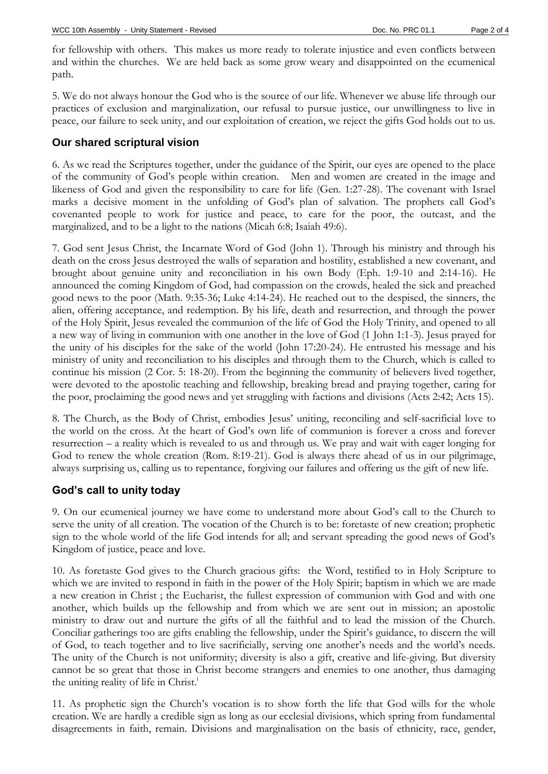for fellowship with others. This makes us more ready to tolerate injustice and even conflicts between and within the churches. We are held back as some grow weary and disappointed on the ecumenical path.

5. We do not always honour the God who is the source of our life. Whenever we abuse life through our practices of exclusion and marginalization, our refusal to pursue justice, our unwillingness to live in peace, our failure to seek unity, and our exploitation of creation, we reject the gifts God holds out to us.

#### **Our shared scriptural vision**

6. As we read the Scriptures together, under the guidance of the Spirit, our eyes are opened to the place of the community of God's people within creation. Men and women are created in the image and likeness of God and given the responsibility to care for life (Gen. 1:27-28). The covenant with Israel marks a decisive moment in the unfolding of God's plan of salvation. The prophets call God's covenanted people to work for justice and peace, to care for the poor, the outcast, and the marginalized, and to be a light to the nations (Micah 6:8; Isaiah 49:6).

7. God sent Jesus Christ, the Incarnate Word of God (John 1). Through his ministry and through his death on the cross Jesus destroyed the walls of separation and hostility, established a new covenant, and brought about genuine unity and reconciliation in his own Body (Eph. 1:9-10 and 2:14-16). He announced the coming Kingdom of God, had compassion on the crowds, healed the sick and preached good news to the poor (Math. 9:35-36; Luke 4:14-24). He reached out to the despised, the sinners, the alien, offering acceptance, and redemption. By his life, death and resurrection, and through the power of the Holy Spirit, Jesus revealed the communion of the life of God the Holy Trinity, and opened to all a new way of living in communion with one another in the love of God (1 John 1:1-3). Jesus prayed for the unity of his disciples for the sake of the world (John 17:20-24). He entrusted his message and his ministry of unity and reconciliation to his disciples and through them to the Church, which is called to continue his mission (2 Cor. 5: 18-20). From the beginning the community of believers lived together, were devoted to the apostolic teaching and fellowship, breaking bread and praying together, caring for the poor, proclaiming the good news and yet struggling with factions and divisions (Acts 2:42; Acts 15).

8. The Church, as the Body of Christ, embodies Jesus' uniting, reconciling and self-sacrificial love to the world on the cross. At the heart of God's own life of communion is forever a cross and forever resurrection – a reality which is revealed to us and through us. We pray and wait with eager longing for God to renew the whole creation (Rom. 8:19-21). God is always there ahead of us in our pilgrimage, always surprising us, calling us to repentance, forgiving our failures and offering us the gift of new life.

#### **God's call to unity today**

9. On our ecumenical journey we have come to understand more about God's call to the Church to serve the unity of all creation. The vocation of the Church is to be: foretaste of new creation; prophetic sign to the whole world of the life God intends for all; and servant spreading the good news of God's Kingdom of justice, peace and love.

10. As foretaste God gives to the Church gracious gifts: the Word, testified to in Holy Scripture to which we are invited to respond in faith in the power of the Holy Spirit; baptism in which we are made a new creation in Christ ; the Eucharist, the fullest expression of communion with God and with one another, which builds up the fellowship and from which we are sent out in mission; an apostolic ministry to draw out and nurture the gifts of all the faithful and to lead the mission of the Church. Conciliar gatherings too are gifts enabling the fellowship, under the Spirit's guidance, to discern the will of God, to teach together and to live sacrificially, serving one another's needs and the world's needs. The unity of the Church is not uniformity; diversity is also a gift, creative and life-giving. But diversity cannot be so great that those in Christ become strangers and enemies to one another, thus damaging the uniting reality of life in Christ.<sup>1</sup>

11. As prophetic sign the Church's vocation is to show forth the life that God wills for the whole creation. We are hardly a credible sign as long as our ecclesial divisions, which spring from fundamental disagreements in faith, remain. Divisions and marginalisation on the basis of ethnicity, race, gender,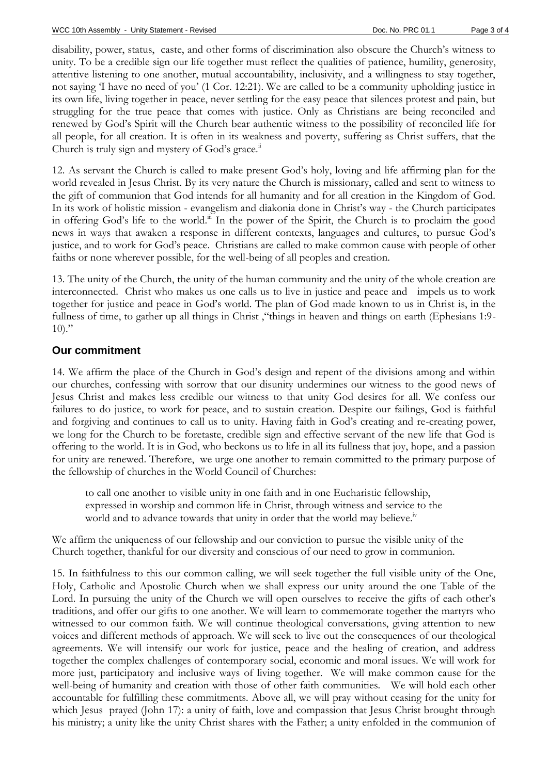disability, power, status, caste, and other forms of discrimination also obscure the Church's witness to unity. To be a credible sign our life together must reflect the qualities of patience, humility, generosity, attentive listening to one another, mutual accountability, inclusivity, and a willingness to stay together, not saying 'I have no need of you' (1 Cor. 12:21). We are called to be a community upholding justice in its own life, living together in peace, never settling for the easy peace that silences protest and pain, but struggling for the true peace that comes with justice. Only as Christians are being reconciled and renewed by God's Spirit will the Church bear authentic witness to the possibility of reconciled life for all people, for all creation. It is often in its weakness and poverty, suffering as Christ suffers, that the Church is truly sign and mystery of God's grace.<sup>ii</sup>

12. As servant the Church is called to make present God's holy, loving and life affirming plan for the world revealed in Jesus Christ. By its very nature the Church is missionary, called and sent to witness to the gift of communion that God intends for all humanity and for all creation in the Kingdom of God. In its work of holistic mission - evangelism and diakonia done in Christ's way - the Church participates in offering God's life to the world.<sup>iii</sup> In the power of the Spirit, the Church is to proclaim the good news in ways that awaken a response in different contexts, languages and cultures, to pursue God's justice, and to work for God's peace. Christians are called to make common cause with people of other faiths or none wherever possible, for the well-being of all peoples and creation.

13. The unity of the Church, the unity of the human community and the unity of the whole creation are interconnected. Christ who makes us one calls us to live in justice and peace and impels us to work together for justice and peace in God's world. The plan of God made known to us in Christ is, in the fullness of time, to gather up all things in Christ ,"things in heaven and things on earth (Ephesians 1:9-  $10$ ."

#### **Our commitment**

14. We affirm the place of the Church in God's design and repent of the divisions among and within our churches, confessing with sorrow that our disunity undermines our witness to the good news of Jesus Christ and makes less credible our witness to that unity God desires for all. We confess our failures to do justice, to work for peace, and to sustain creation. Despite our failings, God is faithful and forgiving and continues to call us to unity. Having faith in God's creating and re-creating power, we long for the Church to be foretaste, credible sign and effective servant of the new life that God is offering to the world. It is in God, who beckons us to life in all its fullness that joy, hope, and a passion for unity are renewed. Therefore, we urge one another to remain committed to the primary purpose of the fellowship of churches in the World Council of Churches:

to call one another to visible unity in one faith and in one Eucharistic fellowship, expressed in worship and common life in Christ, through witness and service to the world and to advance towards that unity in order that the world may believe.<sup>iv</sup>

We affirm the uniqueness of our fellowship and our conviction to pursue the visible unity of the Church together, thankful for our diversity and conscious of our need to grow in communion.

15. In faithfulness to this our common calling, we will seek together the full visible unity of the One, Holy, Catholic and Apostolic Church when we shall express our unity around the one Table of the Lord. In pursuing the unity of the Church we will open ourselves to receive the gifts of each other's traditions, and offer our gifts to one another. We will learn to commemorate together the martyrs who witnessed to our common faith. We will continue theological conversations, giving attention to new voices and different methods of approach. We will seek to live out the consequences of our theological agreements. We will intensify our work for justice, peace and the healing of creation, and address together the complex challenges of contemporary social, economic and moral issues. We will work for more just, participatory and inclusive ways of living together. We will make common cause for the well-being of humanity and creation with those of other faith communities. We will hold each other accountable for fulfilling these commitments. Above all, we will pray without ceasing for the unity for which Jesus prayed (John 17): a unity of faith, love and compassion that Jesus Christ brought through his ministry; a unity like the unity Christ shares with the Father; a unity enfolded in the communion of